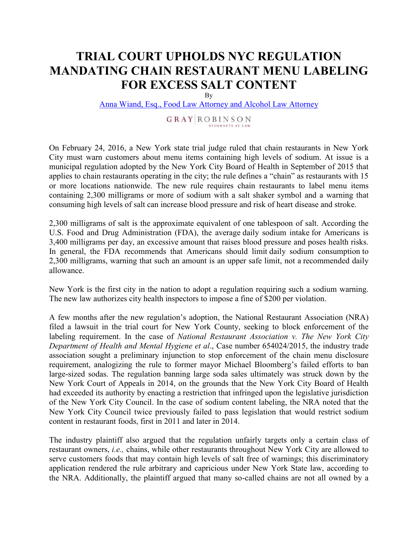## **TRIAL COURT UPHOLDSNYC REGULATION MANDATING CHAIN RESTAURANT MENU LABELING FOR EXCESS SALT CONTENT**

By

[Anna Wiand, Esq., Food Law Attorney and Alcohol Law Attorney](http://www.gray-robinson.com/attorneys/detail/1584/AnnaM-Wiand)

## **GRAY ROBINSON**

On February 24, 2016, a New York state trial judge ruled that chain restaurants in New York City must warn customers about menu items containing high levels of sodium. At issue is a municipal regulation adopted by the New York City Board of Health in September of 2015 that applies to chain restaurants operating in the city; the rule defines a "chain" as restaurants with 15 or more locations nationwide. The new rule requires chain restaurants to label menu items containing 2,300 milligrams or more of sodium with a salt shaker symbol and a warning that consuming high levels of salt can increase blood pressure and risk of heart disease and stroke.

2,300 milligrams of salt is the approximate equivalent of one tablespoon of salt. According the U.S. Food and Drug Administration (FDA), the average daily sodium intake for Americans is 3,400 milligrams per day, an excessive amount that raises blood pressure and poses health risks. In general, the FDA recommends that Americans should limit daily sodium consumption to 2,300 milligrams, warning that such an amount is an upper safe limit, not a recommended daily allowance.

New York is the first city in the nation to adopt a regulation requiring such a sodium warning. The new law authorizes city health inspectors to impose a fine of \$200 per violation.

A few months after the new regulation's adoption, the National Restaurant Association (NRA) filed a lawsuit in the trial court for New York County, seeking to block enforcement of the labeling requirement. In the case of *National Restaurant Association v. The New York City Department of Health and Mental Hygiene et al*., Case number 654024/2015, the industry trade association sought a preliminary injunction to stop enforcement of the chain menu disclosure requirement, analogizing the rule to former mayor Michael Bloomberg's failed efforts to ban large-sized sodas. The regulation banning large soda sales ultimately was struck down by the New York Court of Appeals in 2014, on the grounds that the New York City Board of Health had exceeded its authority by enacting a restriction that infringed upon the legislative jurisdiction of the New York City Council. In the case of sodium content labeling, the NRA noted that the New York City Council twice previously failed to pass legislation that would restrict sodium content in restaurant foods, first in 2011 and later in 2014.

The industry plaintiff also argued that the regulation unfairly targets only a certain class of restaurant owners, *i.e.,* chains, while other restaurants throughout New York City are allowed to serve customers foods that may contain high levels of salt free of warnings; this discriminatory application rendered the rule arbitrary and capricious under New York State law, according to the NRA. Additionally, the plaintiff argued that many so-called chains are not all owned by a